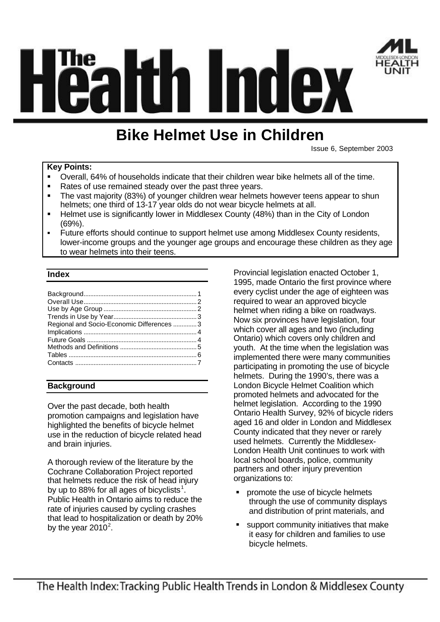

# itin I mdex

## **Bike Helmet Use in Children**

Issue 6, September 2003

#### **Key Points:**

- ß Overall, 64% of households indicate that their children wear bike helmets all of the time.
- Rates of use remained steady over the past three years.
- ß The vast majority (83%) of younger children wear helmets however teens appear to shun helmets; one third of 13-17 year olds do not wear bicycle helmets at all.
- ß Helmet use is significantly lower in Middlesex County (48%) than in the City of London (69%).
- ß Future efforts should continue to support helmet use among Middlesex County residents, lower-income groups and the younger age groups and encourage these children as they age to wear helmets into their teens.

#### **Index**

| Regional and Socio-Economic Differences  3 |  |
|--------------------------------------------|--|
|                                            |  |
|                                            |  |
|                                            |  |
|                                            |  |
|                                            |  |
|                                            |  |

#### **Background**

Over the past decade, both health promotion campaigns and legislation have highlighted the benefits of bicycle helmet use in the reduction of bicycle related head and brain injuries.

A thorough review of the literature by the Cochrane Collaboration Project reported that helmets reduce the risk of head injury by up to 88% for all ages of bicyclists $^{\rm 1}.$ Public Health in Ontario aims to reduce the rate of injuries caused by cycling crashes that lead to hospitalization or death by 20% by the year 2010 $2$ .

Provincial legislation enacted October 1, 1995, made Ontario the first province where every cyclist under the age of eighteen was required to wear an approved bicycle helmet when riding a bike on roadways. Now six provinces have legislation, four which cover all ages and two (including Ontario) which covers only children and youth. At the time when the legislation was implemented there were many communities participating in promoting the use of bicycle helmets. During the 1990's, there was a London Bicycle Helmet Coalition which promoted helmets and advocated for the helmet legislation. According to the 1990 Ontario Health Survey, 92% of bicycle riders aged 16 and older in London and Middlesex County indicated that they never or rarely used helmets. Currently the Middlesex-London Health Unit continues to work with local school boards, police, community partners and other injury prevention organizations to:

- **•** promote the use of bicycle helmets through the use of community displays and distribution of print materials, and
- support community initiatives that make it easy for children and families to use bicycle helmets.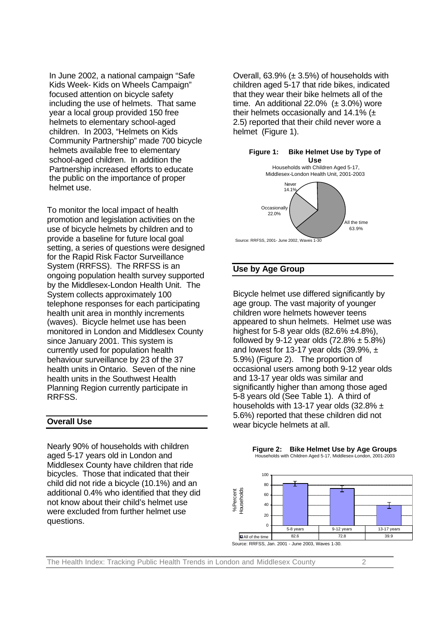In June 2002, a national campaign "Safe Kids Week- Kids on Wheels Campaign" focused attention on bicycle safety including the use of helmets. That same year a local group provided 150 free helmets to elementary school-aged children. In 2003, "Helmets on Kids Community Partnership" made 700 bicycle helmets available free to elementary school-aged children. In addition the Partnership increased efforts to educate the public on the importance of proper helmet use.

To monitor the local impact of health promotion and legislation activities on the use of bicycle helmets by children and to provide a baseline for future local goal setting, a series of questions were designed for the Rapid Risk Factor Surveillance System (RRFSS). The RRFSS is an ongoing population health survey supported by the Middlesex-London Health Unit. The System collects approximately 100 telephone responses for each participating health unit area in monthly increments (waves). Bicycle helmet use has been monitored in London and Middlesex County since January 2001. This system is currently used for population health behaviour surveillance by 23 of the 37 health units in Ontario. Seven of the nine health units in the Southwest Health Planning Region currently participate in RRFSS.

#### **Overall Use**

Nearly 90% of households with children aged 5-17 years old in London and Middlesex County have children that ride bicycles. Those that indicated that their child did not ride a bicycle (10.1%) and an additional 0.4% who identified that they did not know about their child's helmet use were excluded from further helmet use questions.

Overall,  $63.9\%$  ( $\pm 3.5\%$ ) of households with children aged 5-17 that ride bikes, indicated that they wear their bike helmets all of the time. An additional 22.0%  $(\pm 3.0%)$  wore their helmets occasionally and 14.1%  $(\pm)$ 2.5) reported that their child never wore a helmet (Figure 1).



#### **Use by Age Group**

Bicycle helmet use differed significantly by age group. The vast majority of younger children wore helmets however teens appeared to shun helmets. Helmet use was highest for 5-8 year olds  $(82.6\% \pm 4.8\%)$ . followed by 9-12 year olds  $(72.8\% \pm 5.8\%)$ and lowest for 13-17 year olds  $(39.9\% , \pm)$ 5.9%) (Figure 2). The proportion of occasional users among both 9-12 year olds and 13-17 year olds was similar and significantly higher than among those aged 5-8 years old (See Table 1). A third of households with 13-17 year olds  $(32.8\% \pm$ 5.6%) reported that these children did not wear bicycle helmets at all.



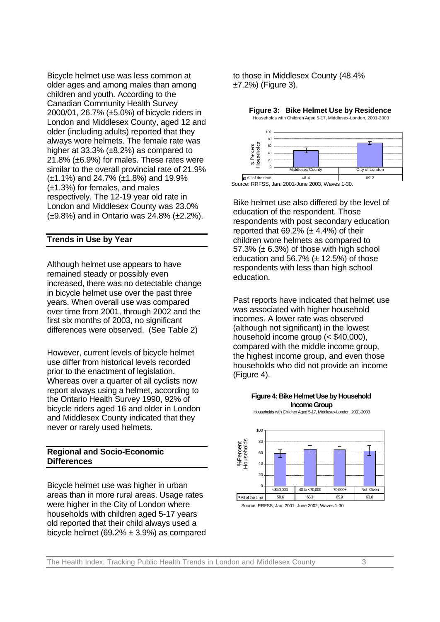Bicycle helmet use was less common at older ages and among males than among children and youth. According to the Canadian Community Health Survey 2000/01, 26.7% (±5.0%) of bicycle riders in London and Middlesex County, aged 12 and older (including adults) reported that they always wore helmets. The female rate was higher at  $33.3\%$  ( $\pm 8.2\%$ ) as compared to 21.8% (±6.9%) for males. These rates were similar to the overall provincial rate of 21.9% (±1.1%) and 24.7% (±1.8%) and 19.9% (±1.3%) for females, and males respectively. The 12-19 year old rate in London and Middlesex County was 23.0% (±9.8%) and in Ontario was 24.8% (±2.2%).

#### **Trends in Use by Year**

Although helmet use appears to have remained steady or possibly even increased, there was no detectable change in bicycle helmet use over the past three years. When overall use was compared over time from 2001, through 2002 and the first six months of 2003, no significant differences were observed. (See Table 2)

However, current levels of bicycle helmet use differ from historical levels recorded prior to the enactment of legislation. Whereas over a quarter of all cyclists now report always using a helmet, according to the Ontario Health Survey 1990, 92% of bicycle riders aged 16 and older in London and Middlesex County indicated that they never or rarely used helmets.

#### **Regional and Socio-Economic Differences**

Bicycle helmet use was higher in urban areas than in more rural areas. Usage rates were higher in the City of London where households with children aged 5-17 years old reported that their child always used a bicycle helmet (69.2%  $\pm$  3.9%) as compared to those in Middlesex County (48.4% ±7.2%) (Figure 3).

Households with Children Aged 5-17, Middlesex-London, 2001-2003 100 80 x Percent<br>Households 60 40  $20$  $\theta$ City of Londo  $\Box$  All of the time  $\Box$  48.4

**Figure 3: Bike Helmet Use by Residence**

Source: RRFSS, Jan. 2001-June 2003, Waves 1-30.

Bike helmet use also differed by the level of education of the respondent. Those respondents with post secondary education reported that  $69.2\%$  ( $\pm$  4.4%) of their children wore helmets as compared to 57.3%  $(\pm 6.3)$  of those with high school education and 56.7%  $(\pm 12.5%)$  of those respondents with less than high school education.

Past reports have indicated that helmet use was associated with higher household incomes. A lower rate was observed (although not significant) in the lowest household income group (< \$40,000), compared with the middle income group, the highest income group, and even those households who did not provide an income (Figure 4).



Source: RRFSS, Jan. 2001- June 2002, Waves 1-30.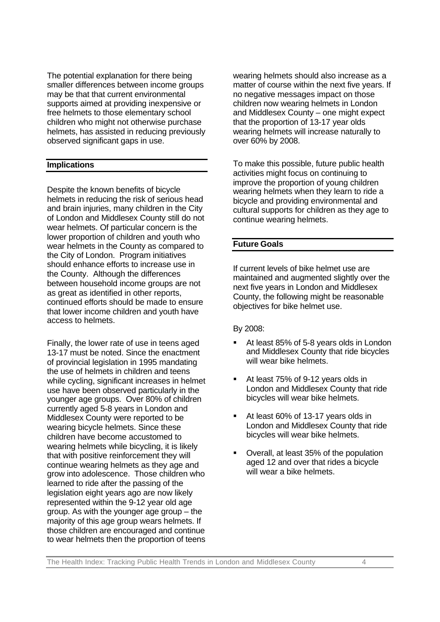The potential explanation for there being smaller differences between income groups may be that that current environmental supports aimed at providing inexpensive or free helmets to those elementary school children who might not otherwise purchase helmets, has assisted in reducing previously observed significant gaps in use.

#### **Implications**

Despite the known benefits of bicycle helmets in reducing the risk of serious head and brain injuries, many children in the City of London and Middlesex County still do not wear helmets. Of particular concern is the lower proportion of children and youth who wear helmets in the County as compared to the City of London. Program initiatives should enhance efforts to increase use in the County. Although the differences between household income groups are not as great as identified in other reports, continued efforts should be made to ensure that lower income children and youth have access to helmets.

Finally, the lower rate of use in teens aged 13-17 must be noted. Since the enactment of provincial legislation in 1995 mandating the use of helmets in children and teens while cycling, significant increases in helmet use have been observed particularly in the younger age groups. Over 80% of children currently aged 5-8 years in London and Middlesex County were reported to be wearing bicycle helmets. Since these children have become accustomed to wearing helmets while bicycling, it is likely that with positive reinforcement they will continue wearing helmets as they age and grow into adolescence. Those children who learned to ride after the passing of the legislation eight years ago are now likely represented within the 9-12 year old age group. As with the younger age group – the majority of this age group wears helmets. If those children are encouraged and continue to wear helmets then the proportion of teens

wearing helmets should also increase as a matter of course within the next five years. If no negative messages impact on those children now wearing helmets in London and Middlesex County – one might expect that the proportion of 13-17 year olds wearing helmets will increase naturally to over 60% by 2008.

To make this possible, future public health activities might focus on continuing to improve the proportion of young children wearing helmets when they learn to ride a bicycle and providing environmental and cultural supports for children as they age to continue wearing helmets.

#### **Future Goals**

If current levels of bike helmet use are maintained and augmented slightly over the next five years in London and Middlesex County, the following might be reasonable objectives for bike helmet use.

By 2008:

- ß At least 85% of 5-8 years olds in London and Middlesex County that ride bicycles will wear bike helmets.
- ß At least 75% of 9-12 years olds in London and Middlesex County that ride bicycles will wear bike helmets.
- At least 60% of 13-17 years olds in London and Middlesex County that ride bicycles will wear bike helmets.
- ß Overall, at least 35% of the population aged 12 and over that rides a bicycle will wear a bike helmets.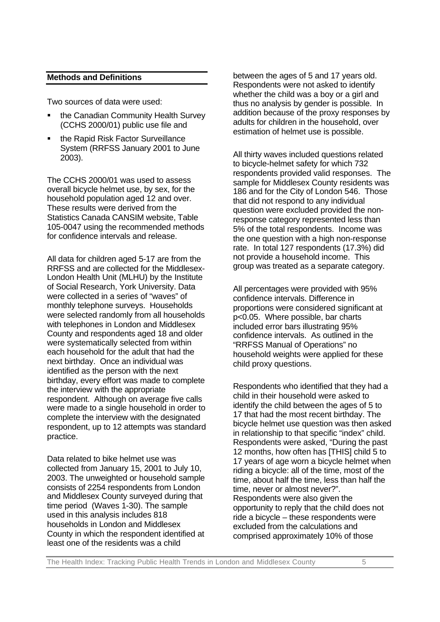#### **Methods and Definitions**

Two sources of data were used:

- the Canadian Community Health Survey (CCHS 2000/01) public use file and
- ß the Rapid Risk Factor Surveillance System (RRFSS January 2001 to June 2003).

The CCHS 2000/01 was used to assess overall bicycle helmet use, by sex, for the household population aged 12 and over. These results were derived from the Statistics Canada CANSIM website, Table 105-0047 using the recommended methods for confidence intervals and release.

All data for children aged 5-17 are from the RRFSS and are collected for the Middlesex-London Health Unit (MLHU) by the Institute of Social Research, York University. Data were collected in a series of "waves" of monthly telephone surveys. Households were selected randomly from all households with telephones in London and Middlesex County and respondents aged 18 and older were systematically selected from within each household for the adult that had the next birthday. Once an individual was identified as the person with the next birthday, every effort was made to complete the interview with the appropriate respondent. Although on average five calls were made to a single household in order to complete the interview with the designated respondent, up to 12 attempts was standard practice.

Data related to bike helmet use was collected from January 15, 2001 to July 10, 2003. The unweighted or household sample consists of 2254 respondents from London and Middlesex County surveyed during that time period (Waves 1-30). The sample used in this analysis includes 818 households in London and Middlesex County in which the respondent identified at least one of the residents was a child

between the ages of 5 and 17 years old. Respondents were not asked to identify whether the child was a boy or a girl and thus no analysis by gender is possible. In addition because of the proxy responses by adults for children in the household, over estimation of helmet use is possible.

All thirty waves included questions related to bicycle-helmet safety for which 732 respondents provided valid responses. The sample for Middlesex County residents was 186 and for the City of London 546. Those that did not respond to any individual question were excluded provided the nonresponse category represented less than 5% of the total respondents. Income was the one question with a high non-response rate. In total 127 respondents (17.3%) did not provide a household income. This group was treated as a separate category.

All percentages were provided with 95% confidence intervals. Difference in proportions were considered significant at p<0.05. Where possible, bar charts included error bars illustrating 95% confidence intervals. As outlined in the "RRFSS Manual of Operations" no household weights were applied for these child proxy questions.

Respondents who identified that they had a child in their household were asked to identify the child between the ages of 5 to 17 that had the most recent birthday. The bicycle helmet use question was then asked in relationship to that specific "index" child. Respondents were asked, "During the past 12 months, how often has [THIS] child 5 to 17 years of age worn a bicycle helmet when riding a bicycle: all of the time, most of the time, about half the time, less than half the time, never or almost never?". Respondents were also given the opportunity to reply that the child does not ride a bicycle – these respondents were excluded from the calculations and comprised approximately 10% of those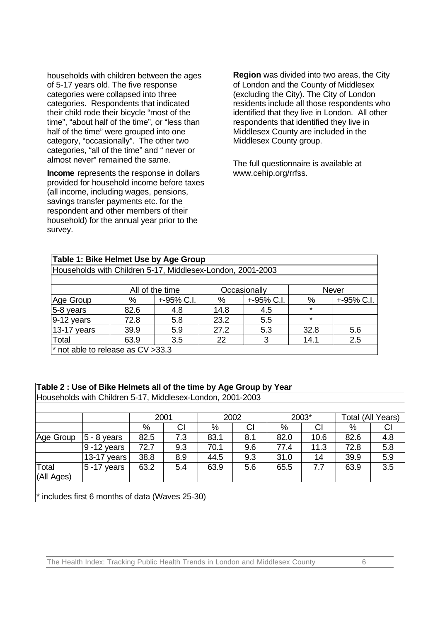households with children between the ages of 5-17 years old. The five response categories were collapsed into three categories. Respondents that indicated their child rode their bicycle "most of the time", "about half of the time", or "less than half of the time" were grouped into one category, "occasionally". The other two categories, "all of the time" and " never or almost never" remained the same.

**Income** represents the response in dollars provided for household income before taxes (all income, including wages, pensions, savings transfer payments etc. for the respondent and other members of their household) for the annual year prior to the survey.

**Region** was divided into two areas, the City of London and the County of Middlesex (excluding the City). The City of London residents include all those respondents who identified that they live in London. All other respondents that identified they live in Middlesex County are included in the Middlesex County group.

The full questionnaire is available at www.cehip.org/rrfss.

| Table 1: Bike Helmet Use by Age Group                      |                 |            |      |              |              |            |  |  |
|------------------------------------------------------------|-----------------|------------|------|--------------|--------------|------------|--|--|
| Households with Children 5-17, Middlesex-London, 2001-2003 |                 |            |      |              |              |            |  |  |
|                                                            |                 |            |      |              |              |            |  |  |
|                                                            | All of the time |            |      | Occasionally | <b>Never</b> |            |  |  |
| Age Group                                                  | %               | +-95% C.I. | %    | +-95% C.I.   | %            | +-95% C.I. |  |  |
| 5-8 years                                                  | 82.6            | 4.8        | 14.8 | 4.5          | $\star$      |            |  |  |
| $9-12$ years                                               | 72.8            | 5.8        | 23.2 | 5.5          | $\star$      |            |  |  |
| 13-17 years                                                | 39.9            | 5.9        | 27.2 | 5.3          | 32.8         | 5.6        |  |  |
| Total                                                      | 63.9            | 3.5        | 22   | 3            | 14.1         | 2.5        |  |  |
| $*$ not able to release as $CV > 33.3$                     |                 |            |      |              |              |            |  |  |

#### **Table 2 : Use of Bike Helmets all of the time by Age Group by Year**

| Table 2: Use of bike heimets all of the time by Age Group by Tear |                                                            |      |     |      |     |       |      |                   |     |
|-------------------------------------------------------------------|------------------------------------------------------------|------|-----|------|-----|-------|------|-------------------|-----|
|                                                                   | Households with Children 5-17, Middlesex-London, 2001-2003 |      |     |      |     |       |      |                   |     |
|                                                                   |                                                            |      |     |      |     |       |      |                   |     |
|                                                                   |                                                            | 2001 |     | 2002 |     | 2003* |      | Total (All Years) |     |
|                                                                   |                                                            | %    | СI  | %    | СI  | %     | СI   | %                 | СI  |
| Age Group                                                         | $5 - 8$ years                                              | 82.5 | 7.3 | 83.1 | 8.1 | 82.0  | 10.6 | 82.6              | 4.8 |
|                                                                   | $9 - 12$ years                                             | 72.7 | 9.3 | 70.1 | 9.6 | 77.4  | 11.3 | 72.8              | 5.8 |
|                                                                   | 13-17 years                                                | 38.8 | 8.9 | 44.5 | 9.3 | 31.0  | 14   | 39.9              | 5.9 |
| Total<br>(All Ages)                                               | $5 - 17$ years                                             | 63.2 | 5.4 | 63.9 | 5.6 | 65.5  | 7.7  | 63.9              | 3.5 |
|                                                                   |                                                            |      |     |      |     |       |      |                   |     |
|                                                                   | * includes first 6 months of data (Waves 25-30)            |      |     |      |     |       |      |                   |     |